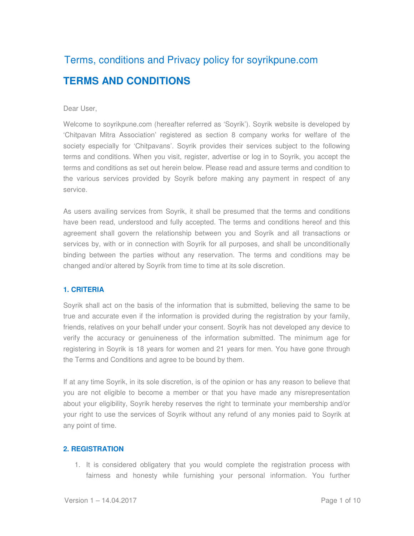# Terms, conditions and Privacy policy for soyrikpune.com **TERMS AND CONDITIONS**

## Dear User,

Welcome to soyrikpune.com (hereafter referred as 'Soyrik'). Soyrik website is developed by 'Chitpavan Mitra Association' registered as section 8 company works for welfare of the society especially for 'Chitpavans'. Soyrik provides their services subject to the following terms and conditions. When you visit, register, advertise or log in to Soyrik, you accept the terms and conditions as set out herein below. Please read and assure terms and condition to the various services provided by Soyrik before making any payment in respect of any service.

As users availing services from Soyrik, it shall be presumed that the terms and conditions have been read, understood and fully accepted. The terms and conditions hereof and this agreement shall govern the relationship between you and Soyrik and all transactions or services by, with or in connection with Soyrik for all purposes, and shall be unconditionally binding between the parties without any reservation. The terms and conditions may be changed and/or altered by Soyrik from time to time at its sole discretion.

#### **1. CRITERIA**

Soyrik shall act on the basis of the information that is submitted, believing the same to be true and accurate even if the information is provided during the registration by your family, friends, relatives on your behalf under your consent. Soyrik has not developed any device to verify the accuracy or genuineness of the information submitted. The minimum age for registering in Soyrik is 18 years for women and 21 years for men. You have gone through the Terms and Conditions and agree to be bound by them.

If at any time Soyrik, in its sole discretion, is of the opinion or has any reason to believe that you are not eligible to become a member or that you have made any misrepresentation about your eligibility, Soyrik hereby reserves the right to terminate your membership and/or your right to use the services of Soyrik without any refund of any monies paid to Soyrik at any point of time.

#### **2. REGISTRATION**

1. It is considered obligatery that you would complete the registration process with fairness and honesty while furnishing your personal information. You further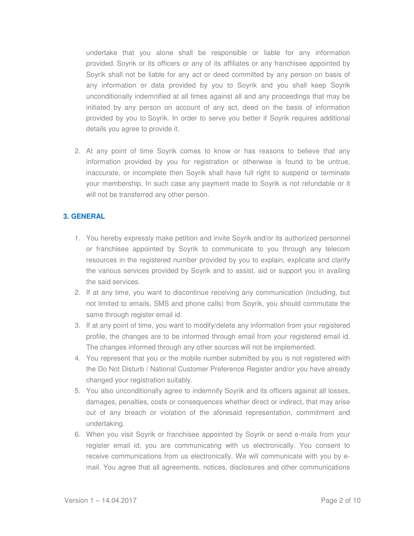undertake that you alone shall be responsible or liable for any information provided. Soyrik or its officers or any of its affiliates or any franchisee appointed by Soyrik shall not be liable for any act or deed committed by any person on basis of any information or data provided by you to Soyrik and you shall keep Soyrik unconditionally indemnified at all times against all and any proceedings that may be initiated by any person on account of any act, deed on the basis of information provided by you to Soyrik. In order to serve you better if Soyrik requires additional details you agree to provide it.

2. At any point of time Soyrik comes to know or has reasons to believe that any information provided by you for registration or otherwise is found to be untrue, inaccurate, or incomplete then Soyrik shall have full right to suspend or terminate your membership. In such case any payment made to Soyrik is not refundable or it will not be transferred any other person.

# **3. GENERAL**

- 1. You hereby expressly make petition and invite Soyrik and/or its authorized personnel or franchisee appointed by Soyrik to communicate to you through any telecom resources in the registered number provided by you to explain, explicate and clarify the various services provided by Soyrik and to assist, aid or support you in availing the said services.
- 2. If at any time, you want to discontinue receiving any communication (including, but not limited to emails, SMS and phone calls) from Soyrik, you should commutate the same through register email id.
- 3. If at any point of time, you want to modify/delete any information from your registered profile, the changes are to be informed through email from your registered email id. The changes informed through any other sources will not be implemented.
- 4. You represent that you or the mobile number submitted by you is not registered with the Do Not Disturb / National Customer Preference Register and/or you have already changed your registration suitably.
- 5. You also unconditionally agree to indemnify Soyrik and its officers against all losses, damages, penalties, costs or consequences whether direct or indirect, that may arise out of any breach or violation of the aforesaid representation, commitment and undertaking.
- 6. When you visit Soyrik or franchisee appointed by Soyrik or send e-mails from your register email id, you are communicating with us electronically. You consent to receive communications from us electronically. We will communicate with you by email. You agree that all agreements, notices, disclosures and other communications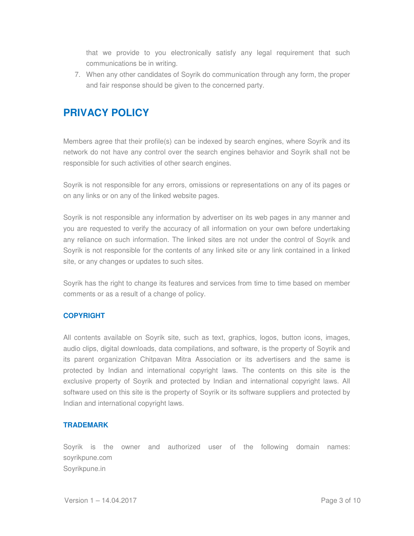that we provide to you electronically satisfy any legal requirement that such communications be in writing.

7. When any other candidates of Soyrik do communication through any form, the proper and fair response should be given to the concerned party.

# **PRIVACY POLICY**

Members agree that their profile(s) can be indexed by search engines, where Soyrik and its network do not have any control over the search engines behavior and Soyrik shall not be responsible for such activities of other search engines.

Soyrik is not responsible for any errors, omissions or representations on any of its pages or on any links or on any of the linked website pages.

Soyrik is not responsible any information by advertiser on its web pages in any manner and you are requested to verify the accuracy of all information on your own before undertaking any reliance on such information. The linked sites are not under the control of Soyrik and Soyrik is not responsible for the contents of any linked site or any link contained in a linked site, or any changes or updates to such sites.

Soyrik has the right to change its features and services from time to time based on member comments or as a result of a change of policy.

# **COPYRIGHT**

All contents available on Soyrik site, such as text, graphics, logos, button icons, images, audio clips, digital downloads, data compilations, and software, is the property of Soyrik and its parent organization Chitpavan Mitra Association or its advertisers and the same is protected by Indian and international copyright laws. The contents on this site is the exclusive property of Soyrik and protected by Indian and international copyright laws. All software used on this site is the property of Soyrik or its software suppliers and protected by Indian and international copyright laws.

# **TRADEMARK**

Soyrik is the owner and authorized user of the following domain names: soyrikpune.com Soyrikpune.in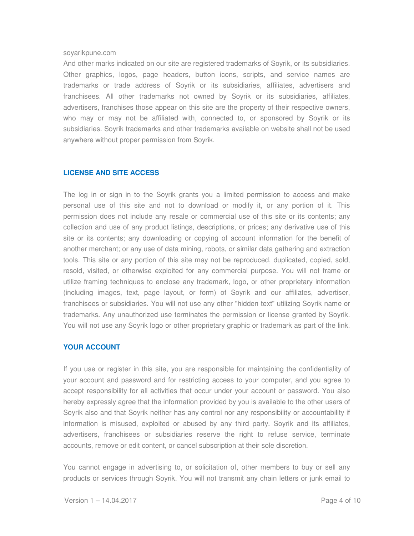#### soyarikpune.com

And other marks indicated on our site are registered trademarks of Soyrik, or its subsidiaries. Other graphics, logos, page headers, button icons, scripts, and service names are trademarks or trade address of Soyrik or its subsidiaries, affiliates, advertisers and franchisees. All other trademarks not owned by Soyrik or its subsidiaries, affiliates, advertisers, franchises those appear on this site are the property of their respective owners, who may or may not be affiliated with, connected to, or sponsored by Soyrik or its subsidiaries. Soyrik trademarks and other trademarks available on website shall not be used anywhere without proper permission from Soyrik.

## **LICENSE AND SITE ACCESS**

The log in or sign in to the Soyrik grants you a limited permission to access and make personal use of this site and not to download or modify it, or any portion of it. This permission does not include any resale or commercial use of this site or its contents; any collection and use of any product listings, descriptions, or prices; any derivative use of this site or its contents; any downloading or copying of account information for the benefit of another merchant; or any use of data mining, robots, or similar data gathering and extraction tools. This site or any portion of this site may not be reproduced, duplicated, copied, sold, resold, visited, or otherwise exploited for any commercial purpose. You will not frame or utilize framing techniques to enclose any trademark, logo, or other proprietary information (including images, text, page layout, or form) of Soyrik and our affiliates, advertiser, franchisees or subsidiaries. You will not use any other "hidden text" utilizing Soyrik name or trademarks. Any unauthorized use terminates the permission or license granted by Soyrik. You will not use any Soyrik logo or other proprietary graphic or trademark as part of the link.

## **YOUR ACCOUNT**

If you use or register in this site, you are responsible for maintaining the confidentiality of your account and password and for restricting access to your computer, and you agree to accept responsibility for all activities that occur under your account or password. You also hereby expressly agree that the information provided by you is available to the other users of Soyrik also and that Soyrik neither has any control nor any responsibility or accountability if information is misused, exploited or abused by any third party. Soyrik and its affiliates, advertisers, franchisees or subsidiaries reserve the right to refuse service, terminate accounts, remove or edit content, or cancel subscription at their sole discretion.

You cannot engage in advertising to, or solicitation of, other members to buy or sell any products or services through Soyrik. You will not transmit any chain letters or junk email to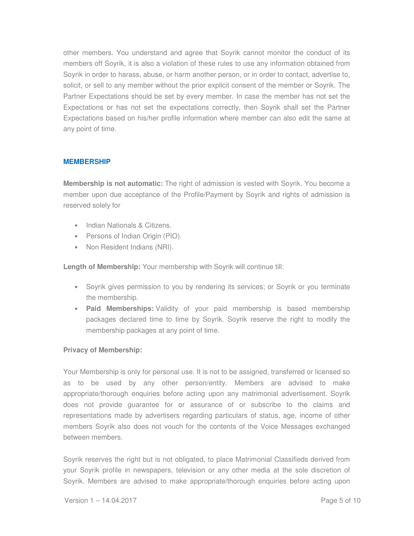other members. You understand and agree that Soyrik cannot monitor the conduct of its members off Soyrik, it is also a violation of these rules to use any information obtained from Soyrik in order to harass, abuse, or harm another person, or in order to contact, advertise to, solicit, or sell to any member without the prior explicit consent of the member or Soyrik. The Partner Expectations should be set by every member. In case the member has not set the Expectations or has not set the expectations correctly, then Soyrik shall set the Partner Expectations based on his/her profile information where member can also edit the same at any point of time.

# **MEMBERSHIP**

**Membership is not automatic:** The right of admission is vested with Soyrik. You become a member upon due acceptance of the Profile/Payment by Soyrik and rights of admission is reserved solely for

- Indian Nationals & Citizens.
- Persons of Indian Origin (PIO).
- Non Resident Indians (NRI).

**Length of Membership:** Your membership with Soyrik will continue till:

- Soyrik gives permission to you by rendering its services; or Soyrik or you terminate the membership.
- **Paid Memberships:** Validity of your paid membership is based membership packages declared time to time by Soyrik. Soyrik reserve the right to modify the membership packages at any point of time.

## **Privacy of Membership:**

Your Membership is only for personal use. It is not to be assigned, transferred or licensed so as to be used by any other person/entity. Members are advised to make appropriate/thorough enquiries before acting upon any matrimonial advertisement. Soyrik does not provide guarantee for or assurance of or subscribe to the claims and representations made by advertisers regarding particulars of status, age, income of other members Soyrik also does not vouch for the contents of the Voice Messages exchanged between members.

Soyrik reserves the right but is not obligated, to place Matrimonial Classifieds derived from your Soyrik profile in newspapers, television or any other media at the sole discretion of Soyrik. Members are advised to make appropriate/thorough enquiries before acting upon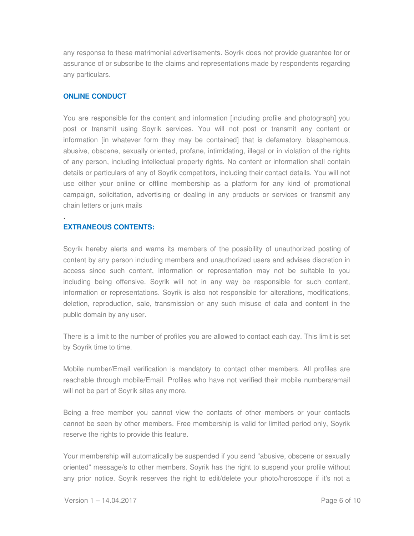any response to these matrimonial advertisements. Soyrik does not provide guarantee for or assurance of or subscribe to the claims and representations made by respondents regarding any particulars.

# **ONLINE CONDUCT**

You are responsible for the content and information [including profile and photograph] you post or transmit using Soyrik services. You will not post or transmit any content or information [in whatever form they may be contained] that is defamatory, blasphemous, abusive, obscene, sexually oriented, profane, intimidating, illegal or in violation of the rights of any person, including intellectual property rights. No content or information shall contain details or particulars of any of Soyrik competitors, including their contact details. You will not use either your online or offline membership as a platform for any kind of promotional campaign, solicitation, advertising or dealing in any products or services or transmit any chain letters or junk mails

# **EXTRANEOUS CONTENTS:**

.

Soyrik hereby alerts and warns its members of the possibility of unauthorized posting of content by any person including members and unauthorized users and advises discretion in access since such content, information or representation may not be suitable to you including being offensive. Soyrik will not in any way be responsible for such content, information or representations. Soyrik is also not responsible for alterations, modifications, deletion, reproduction, sale, transmission or any such misuse of data and content in the public domain by any user.

There is a limit to the number of profiles you are allowed to contact each day. This limit is set by Soyrik time to time.

Mobile number/Email verification is mandatory to contact other members. All profiles are reachable through mobile/Email. Profiles who have not verified their mobile numbers/email will not be part of Soyrik sites any more.

Being a free member you cannot view the contacts of other members or your contacts cannot be seen by other members. Free membership is valid for limited period only, Soyrik reserve the rights to provide this feature.

Your membership will automatically be suspended if you send "abusive, obscene or sexually oriented" message/s to other members. Soyrik has the right to suspend your profile without any prior notice. Soyrik reserves the right to edit/delete your photo/horoscope if it's not a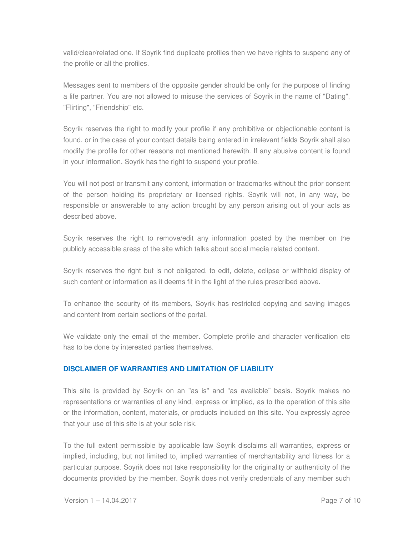valid/clear/related one. If Soyrik find duplicate profiles then we have rights to suspend any of the profile or all the profiles.

Messages sent to members of the opposite gender should be only for the purpose of finding a life partner. You are not allowed to misuse the services of Soyrik in the name of "Dating", "Flirting", "Friendship" etc.

Soyrik reserves the right to modify your profile if any prohibitive or objectionable content is found, or in the case of your contact details being entered in irrelevant fields Soyrik shall also modify the profile for other reasons not mentioned herewith. If any abusive content is found in your information, Soyrik has the right to suspend your profile.

You will not post or transmit any content, information or trademarks without the prior consent of the person holding its proprietary or licensed rights. Soyrik will not, in any way, be responsible or answerable to any action brought by any person arising out of your acts as described above.

Soyrik reserves the right to remove/edit any information posted by the member on the publicly accessible areas of the site which talks about social media related content.

Soyrik reserves the right but is not obligated, to edit, delete, eclipse or withhold display of such content or information as it deems fit in the light of the rules prescribed above.

To enhance the security of its members, Soyrik has restricted copying and saving images and content from certain sections of the portal.

We validate only the email of the member. Complete profile and character verification etc has to be done by interested parties themselves.

# **DISCLAIMER OF WARRANTIES AND LIMITATION OF LIABILITY**

This site is provided by Soyrik on an "as is" and "as available" basis. Soyrik makes no representations or warranties of any kind, express or implied, as to the operation of this site or the information, content, materials, or products included on this site. You expressly agree that your use of this site is at your sole risk.

To the full extent permissible by applicable law Soyrik disclaims all warranties, express or implied, including, but not limited to, implied warranties of merchantability and fitness for a particular purpose. Soyrik does not take responsibility for the originality or authenticity of the documents provided by the member. Soyrik does not verify credentials of any member such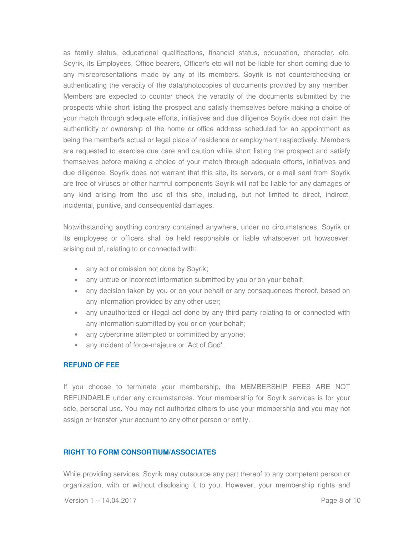as family status, educational qualifications, financial status, occupation, character, etc. Soyrik, its Employees, Office bearers, Officer's etc will not be liable for short coming due to any misrepresentations made by any of its members. Soyrik is not counterchecking or authenticating the veracity of the data/photocopies of documents provided by any member. Members are expected to counter check the veracity of the documents submitted by the prospects while short listing the prospect and satisfy themselves before making a choice of your match through adequate efforts, initiatives and due diligence Soyrik does not claim the authenticity or ownership of the home or office address scheduled for an appointment as being the member's actual or legal place of residence or employment respectively. Members are requested to exercise due care and caution while short listing the prospect and satisfy themselves before making a choice of your match through adequate efforts, initiatives and due diligence. Soyrik does not warrant that this site, its servers, or e-mail sent from Soyrik are free of viruses or other harmful components Soyrik will not be liable for any damages of any kind arising from the use of this site, including, but not limited to direct, indirect, incidental, punitive, and consequential damages.

Notwithstanding anything contrary contained anywhere, under no circumstances, Soyrik or its employees or officers shall be held responsible or liable whatsoever ort howsoever, arising out of, relating to or connected with:

- any act or omission not done by Soyrik;
- any untrue or incorrect information submitted by you or on your behalf;
- any decision taken by you or on your behalf or any consequences thereof, based on any information provided by any other user;
- any unauthorized or illegal act done by any third party relating to or connected with any information submitted by you or on your behalf;
- any cybercrime attempted or committed by anyone;
- any incident of force-majeure or 'Act of God'.

## **REFUND OF FEE**

If you choose to terminate your membership, the MEMBERSHIP FEES ARE NOT REFUNDABLE under any circumstances. Your membership for Soyrik services is for your sole, personal use. You may not authorize others to use your membership and you may not assign or transfer your account to any other person or entity.

## **RIGHT TO FORM CONSORTIUM/ASSOCIATES**

While providing services, Soyrik may outsource any part thereof to any competent person or organization, with or without disclosing it to you. However, your membership rights and

Version 1 – 14.04.2017 Page 8 of 10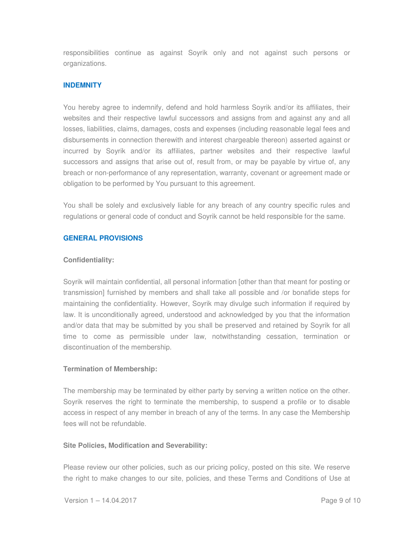responsibilities continue as against Soyrik only and not against such persons or organizations.

# **INDEMNITY**

You hereby agree to indemnify, defend and hold harmless Soyrik and/or its affiliates, their websites and their respective lawful successors and assigns from and against any and all losses, liabilities, claims, damages, costs and expenses (including reasonable legal fees and disbursements in connection therewith and interest chargeable thereon) asserted against or incurred by Soyrik and/or its affiliates, partner websites and their respective lawful successors and assigns that arise out of, result from, or may be payable by virtue of, any breach or non-performance of any representation, warranty, covenant or agreement made or obligation to be performed by You pursuant to this agreement.

You shall be solely and exclusively liable for any breach of any country specific rules and regulations or general code of conduct and Soyrik cannot be held responsible for the same.

# **GENERAL PROVISIONS**

## **Confidentiality:**

Soyrik will maintain confidential, all personal information [other than that meant for posting or transmission] furnished by members and shall take all possible and /or bonafide steps for maintaining the confidentiality. However, Soyrik may divulge such information if required by law. It is unconditionally agreed, understood and acknowledged by you that the information and/or data that may be submitted by you shall be preserved and retained by Soyrik for all time to come as permissible under law, notwithstanding cessation, termination or discontinuation of the membership.

## **Termination of Membership:**

The membership may be terminated by either party by serving a written notice on the other. Soyrik reserves the right to terminate the membership, to suspend a profile or to disable access in respect of any member in breach of any of the terms. In any case the Membership fees will not be refundable.

## **Site Policies, Modification and Severability:**

Please review our other policies, such as our pricing policy, posted on this site. We reserve the right to make changes to our site, policies, and these Terms and Conditions of Use at